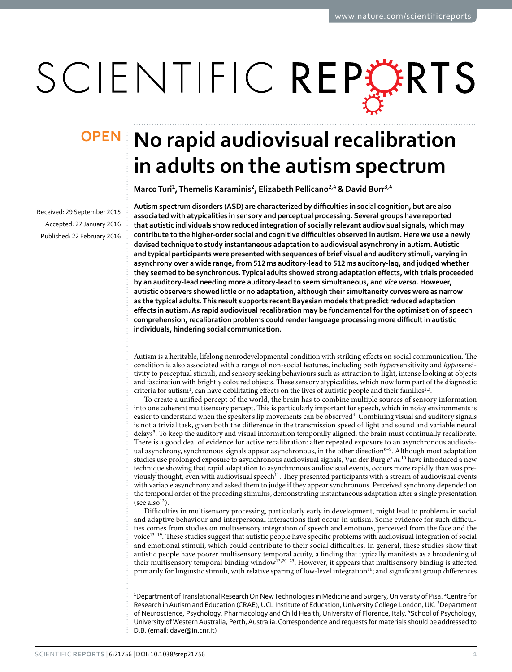# SCIENTIFIC REPERTS

Received: 29 September 2015 accepted: 27 January 2016 Published: 22 February 2016

## **OPEN** No rapid audiovisual recalibration **in adults on the autism spectrum**

**MarcoTuri<sup>1</sup>, Themelis Karaminis<sup>2</sup>, Elizabeth Pellicano<sup>2</sup>,<sup>4</sup> & David Burr<sup>3</sup>,<sup>4</sup>**

**Autism spectrum disorders (ASD) are characterized by difficulties in social cognition, but are also associated with atypicalities in sensory and perceptual processing. Several groups have reported that autistic individuals show reduced integration of socially relevant audiovisual signals, which may contribute to the higher-order social and cognitive difficulties observed in autism. Here we use a newly devised technique to study instantaneous adaptation to audiovisual asynchrony in autism. Autistic and typical participants were presented with sequences of brief visual and auditory stimuli, varying in asynchrony over a wide range, from 512ms auditory-lead to 512ms auditory-lag, and judged whether they seemed to be synchronous. Typical adults showed strong adaptation effects, with trials proceeded by an auditory-lead needing more auditory-lead to seem simultaneous, and** *vice versa***. However, autistic observers showed little or no adaptation, although their simultaneity curves were as narrow as the typical adults. This result supports recent Bayesian models that predict reduced adaptation effects in autism. As rapid audiovisual recalibration may be fundamental for the optimisation of speech comprehension, recalibration problems could render language processing more difficult in autistic individuals, hindering social communication.**

Autism is a heritable, lifelong neurodevelopmental condition with striking effects on social communication. The condition is also associated with a range of non-social features, including both *hyper*sensitivity and *hypo*sensitivity to perceptual stimuli, and sensory seeking behaviours such as attraction to light, intense looking at objects and fascination with brightly coloured objects. These sensory atypicalities, which now form part of the diagnostic criteria for autism<sup>[1](#page-5-0)</sup>, can have debilitating effects on the lives of autistic people and their families<sup>[2](#page-5-1),3</sup>.

To create a unified percept of the world, the brain has to combine multiple sources of sensory information into one coherent multisensory percept. This is particularly important for speech, which in noisy environments is easier to understand when the speaker's lip movements can be observed<sup>4</sup>. Combining visual and auditory signals is not a trivial task, given both the difference in the transmission speed of light and sound and variable neural delays<sup>[5](#page-5-4)</sup>. To keep the auditory and visual information temporally aligned, the brain must continually recalibrate. There is a good deal of evidence for active recalibration: after repeated exposure to an asynchronous audiovisual asynchrony, synchronous signals appear asynchronous, in the other direction<sup>6-9</sup>. Although most adaptation studies use prolonged exposure to asynchronous audiovisual signals, Van der Burg *et al.*[10](#page-5-6) have introduced a new technique showing that rapid adaptation to asynchronous audiovisual events, occurs more rapidly than was previously thought, even with audiovisual speech<sup>11</sup>. They presented participants with a stream of audiovisual events with variable asynchrony and asked them to judge if they appear synchronous. Perceived synchrony depended on the temporal order of the preceding stimulus, demonstrating instantaneous adaptation after a single presentation (see also $^{12}$  $^{12}$  $^{12}$ ).

Difficulties in multisensory processing, particularly early in development, might lead to problems in social and adaptive behaviour and interpersonal interactions that occur in autism. Some evidence for such difficulties comes from studies on multisensory integration of speech and emotions, perceived from the face and the voic[e13–19.](#page-5-9) These studies suggest that autistic people have specific problems with audiovisual integration of social and emotional stimuli, which could contribute to their social difficulties. In general, these studies show that autistic people have poorer multisensory temporal acuity, a finding that typically manifests as a broadening of their multisensory temporal binding window[13,](#page-5-9)[20–23](#page-5-10). However, it appears that multisensory binding is affected primarily for linguistic stimuli, with relative sparing of low-level integration<sup>[16](#page-5-11)</sup>; and significant group differences

<sup>1</sup>Department of Translational Research On New Technologies in Medicine and Surgery, University of Pisa. <sup>2</sup>Centre for Research in Autism and Education (CRAE), UCL Institute of Education, University College London, UK.<sup>3</sup>Department of Neuroscience, Psychology, Pharmacology and Child Health, University of Florence, Italy. "School of Psychology, University of Western Australia, Perth, Australia. Correspondence and requests for materials should be addressed to D.B. (email: [dave@in.cnr.it\)](mailto:dave@in.cnr.it)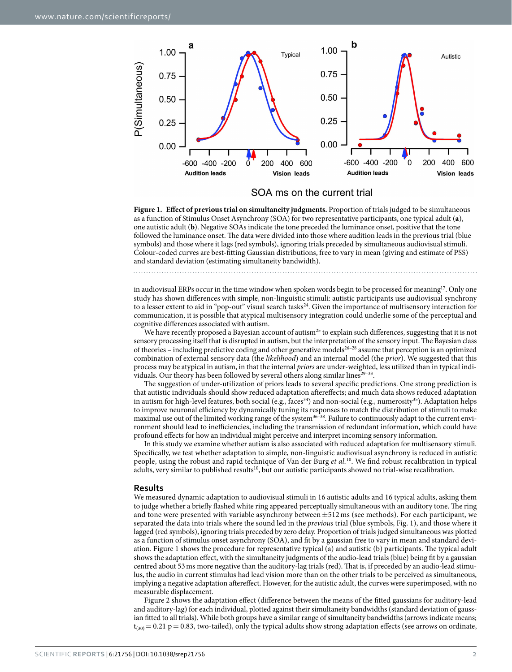

SOA ms on the current trial

<span id="page-1-0"></span>**Figure 1. Effect of previous trial on simultaneity judgments.** Proportion of trials judged to be simultaneous as a function of Stimulus Onset Asynchrony (SOA) for two representative participants, one typical adult (**a**), one autistic adult (**b**). Negative SOAs indicate the tone preceded the luminance onset, positive that the tone followed the luminance onset. The data were divided into those where audition leads in the previous trial (blue symbols) and those where it lags (red symbols), ignoring trials preceded by simultaneous audiovisual stimuli. Colour-coded curves are best-fitting Gaussian distributions, free to vary in mean (giving and estimate of PSS) and standard deviation (estimating simultaneity bandwidth).

in audiovisual ERPs occur in the time window when spoken words begin to be processed for meaning<sup>[17](#page-5-12)</sup>. Only one study has shown differences with simple, non-linguistic stimuli: autistic participants use audiovisual synchrony to a lesser extent to aid in "pop-out" visual search tasks<sup>24</sup>. Given the importance of multisensory interaction for communication, it is possible that atypical multisensory integration could underlie some of the perceptual and cognitive differences associated with autism.

We have recently proposed a Bayesian account of autism<sup>25</sup> to explain such differences, suggesting that it is not sensory processing itself that is disrupted in autism, but the interpretation of the sensory input. The Bayesian class of theories – including predictive coding and other generative models[26–28](#page-6-2) assume that perception is an optimized combination of external sensory data (the *likelihood*) and an internal model (the *prior*). We suggested that this process may be atypical in autism, in that the internal *priors* are under-weighted, less utilized than in typical individuals. Our theory has been followed by several others along similar lines<sup>29-33</sup>.

The suggestion of under-utilization of priors leads to several specific predictions. One strong prediction is that autistic individuals should show reduced adaptation aftereffects; and much data shows reduced adaptation in autism for high-level features, both social (e.g., faces<sup>34</sup>) and non-social (e.g., numerosity<sup>35</sup>). Adaptation helps to improve neuronal efficiency by dynamically tuning its responses to match the distribution of stimuli to make maximal use out of the limited working range of the system<sup>36–38</sup>. Failure to continuously adapt to the current environment should lead to inefficiencies, including the transmission of redundant information, which could have profound effects for how an individual might perceive and interpret incoming sensory information.

In this study we examine whether autism is also associated with reduced adaptation for multisensory stimuli. Specifically, we test whether adaptation to simple, non-linguistic audiovisual asynchrony is reduced in autistic people, using the robust and rapid technique of Van der Burg *et al.*[10.](#page-5-6) We find robust recalibration in typical adults, very similar to published results<sup>10</sup>, but our autistic participants showed no trial-wise recalibration.

#### **Results**

We measured dynamic adaptation to audiovisual stimuli in 16 autistic adults and 16 typical adults, asking them to judge whether a briefly flashed white ring appeared perceptually simultaneous with an auditory tone. The ring and tone were presented with variable asynchrony between  $\pm 512$  ms (see methods). For each participant, we separated the data into trials where the sound led in the *previous* trial (blue symbols, [Fig. 1](#page-1-0)), and those where it lagged (red symbols), ignoring trials preceded by zero delay. Proportion of trials judged simultaneous was plotted as a function of stimulus onset asynchrony (SOA), and fit by a gaussian free to vary in mean and standard deviation. [Figure 1](#page-1-0) shows the procedure for representative typical (a) and autistic (b) participants. The typical adult shows the adaptation effect, with the simultaneity judgments of the audio-lead trials (blue) being fit by a gaussian centred about 53ms more negative than the auditory-lag trials (red). That is, if preceded by an audio-lead stimulus, the audio in current stimulus had lead vision more than on the other trials to be perceived as simultaneous, implying a negative adaptation aftereffect. However, for the autistic adult, the curves were superimposed, with no measurable displacement.

[Figure 2](#page-2-0) shows the adaptation effect (difference between the means of the fitted gaussians for auditory-lead and auditory-lag) for each individual, plotted against their simultaneity bandwidths (standard deviation of gaussian fitted to all trials). While both groups have a similar range of simultaneity bandwidths (arrows indicate means;  $t_{(30)} = 0.21$  p = 0.83, two-tailed), only the typical adults show strong adaptation effects (see arrows on ordinate,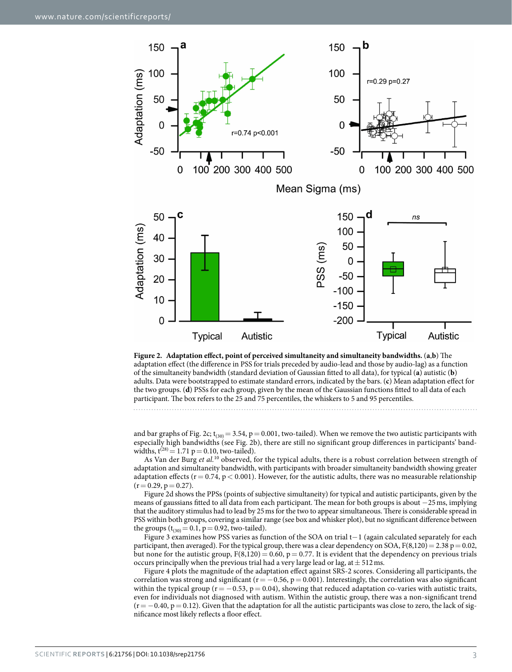

<span id="page-2-0"></span>

and bar graphs of [Fig. 2c](#page-2-0);  $t_{(30)} = 3.54$ , p = 0.001, two-tailed). When we remove the two autistic participants with especially high bandwidths (see [Fig. 2b](#page-2-0)), there are still no significant group differences in participants' bandwidths,  $t^{(28)} = 1.71$  p = 0.10, two-tailed).

As Van der Burg *et al.*[10](#page-5-6) observed, for the typical adults, there is a robust correlation between strength of adaptation and simultaneity bandwidth, with participants with broader simultaneity bandwidth showing greater adaptation effects ( $r = 0.74$ ,  $p < 0.001$ ). However, for the autistic adults, there was no measurable relationship  $(r= 0.29, p= 0.27).$ 

[Figure 2d](#page-2-0) shows the PPSs (points of subjective simultaneity) for typical and autistic participants, given by the means of gaussians fitted to all data from each participant. The mean for both groups is about −25ms, implying that the auditory stimulus had to lead by 25ms for the two to appear simultaneous. There is considerable spread in PSS within both groups, covering a similar range (see box and whisker plot), but no significant difference between the groups  $(t_{(30)} = 0.1, p = 0.92,$  two-tailed).

[Figure 3](#page-3-0) examines how PSS varies as function of the SOA on trial t−1 (again calculated separately for each participant, then averaged). For the typical group, there was a clear dependency on SOA,  $F(8,120) = 2.38 p = 0.02$ , but none for the autistic group,  $F(8,120) = 0.60$ ,  $p = 0.77$ . It is evident that the dependency on previous trials occurs principally when the previous trial had a very large lead or lag, at  $\pm$  512 ms.

[Figure 4](#page-3-1) plots the magnitude of the adaptation effect against SRS-2 scores. Considering all participants, the correlation was strong and significant ( $r = -0.56$ ,  $p = 0.001$ ). Interestingly, the correlation was also significant within the typical group ( $r = -0.53$ ,  $p = 0.04$ ), showing that reduced adaptation co-varies with autistic traits, even for individuals not diagnosed with autism. Within the autistic group, there was a non-significant trend  $(r=-0.40, p=0.12)$ . Given that the adaptation for all the autistic participants was close to zero, the lack of significance most likely reflects a floor effect.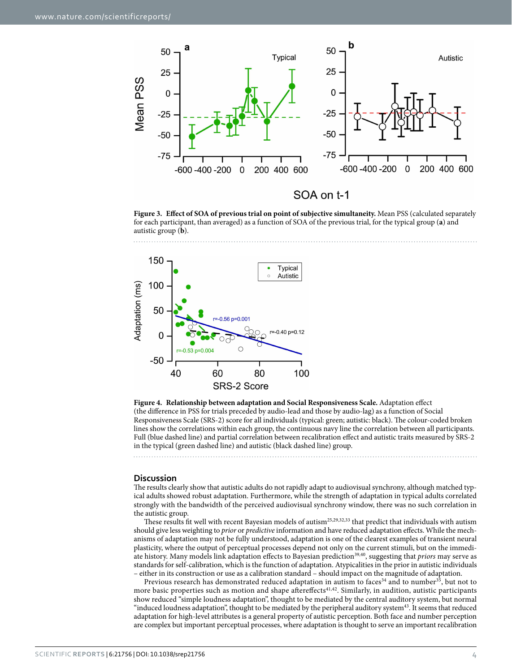

<span id="page-3-0"></span>**Figure 3. Effect of SOA of previous trial on point of subjective simultaneity.** Mean PSS (calculated separately for each participant, than averaged) as a function of SOA of the previous trial, for the typical group (**a**) and autistic group (**b**).



<span id="page-3-1"></span>**Figure 4. Relationship between adaptation and Social Responsiveness Scale.** Adaptation effect (the difference in PSS for trials preceded by audio-lead and those by audio-lag) as a function of Social Responsiveness Scale (SRS-2) score for all individuals (typical: green; autistic: black). The colour-coded broken lines show the correlations within each group, the continuous navy line the correlation between all participants. Full (blue dashed line) and partial correlation between recalibration effect and autistic traits measured by SRS-2 in the typical (green dashed line) and autistic (black dashed line) group.

#### **Discussion**

The results clearly show that autistic adults do not rapidly adapt to audiovisual synchrony, although matched typical adults showed robust adaptation. Furthermore, while the strength of adaptation in typical adults correlated strongly with the bandwidth of the perceived audiovisual synchrony window, there was no such correlation in the autistic group.

These results fit well with recent Bayesian models of autism<sup>[25](#page-6-1),[29](#page-6-3),[32](#page-6-7),[33](#page-6-8)</sup> that predict that individuals with autism should give less weighting to *prior* or *predictive* information and have reduced adaptation effects. While the mechanisms of adaptation may not be fully understood, adaptation is one of the clearest examples of transient neural plasticity, where the output of perceptual processes depend not only on the current stimuli, but on the immediate history. Many models link adaptation effects to Bayesian predictio[n39](#page-6-9)[,40](#page-6-10), suggesting that *priors* may serve as standards for self-calibration, which is the function of adaptation. Atypicalities in the prior in autistic individuals – either in its construction or use as a calibration standard – should impact on the magnitude of adaptation.

Previous research has demonstrated reduced adaptation in autism to faces<sup>34</sup> and to number<sup>35</sup>, but not to more basic properties such as motion and shape aftereffects<sup>[41](#page-6-11)[,42](#page-6-12)</sup>. Similarly, in audition, autistic participants show reduced "simple loudness adaptation", thought to be mediated by the central auditory system, but normal "induced loudness adaptation", thought to be mediated by the peripheral auditory system<sup>43</sup>. It seems that reduced adaptation for high-level attributes is a general property of autistic perception. Both face and number perception are complex but important perceptual processes, where adaptation is thought to serve an important recalibration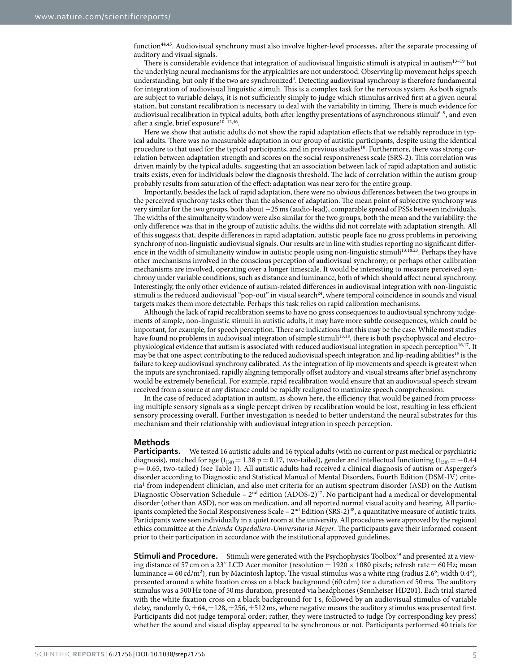function<sup>44[,45](#page-6-15)</sup>. Audiovisual synchrony must also involve higher-level processes, after the separate processing of auditory and visual signals.

There is considerable evidence that integration of audiovisual linguistic stimuli is atypical in autism<sup>13–19</sup> but the underlying neural mechanisms for the atypicalities are not understood. Observing lip movement helps speech understanding, but only if the two are synchronized<sup>4</sup>. Detecting audiovisual synchrony is therefore fundamental for integration of audiovisual linguistic stimuli. This is a complex task for the nervous system. As both signals are subject to variable delays, it is not sufficiently simply to judge which stimulus arrived first at a given neural station, but constant recalibration is necessary to deal with the variability in timing. There is much evidence for audiovisual recalibration in typical adults, both after lengthy presentations of asynchronous stimuli<sup>6-9</sup>, and even after a single, brief exposure<sup>10–12,46</sup>.

Here we show that autistic adults do not show the rapid adaptation effects that we reliably reproduce in typical adults. There was no measurable adaptation in our group of autistic participants, despite using the identical procedure to that used for the typical participants, and in previous studies<sup>10</sup>. Furthermore, there was strong correlation between adaptation strength and scores on the social responsiveness scale (SRS-2). This correlation was driven mainly by the typical adults, suggesting that an association between lack of rapid adaptation and autistic traits exists, even for individuals below the diagnosis threshold. The lack of correlation within the autism group probably results from saturation of the effect: adaptation was near zero for the entire group.

Importantly, besides the lack of rapid adaptation, there were no obvious differences between the two groups in the perceived synchrony tasks other than the absence of adaptation. The mean point of subjective synchrony was very similar for the two groups, both about −25ms (audio-lead), comparable spread of PSSs between individuals. The widths of the simultaneity window were also similar for the two groups, both the mean and the variability: the only difference was that in the group of autistic adults, the widths did not correlate with adaptation strength. All of this suggests that, despite differences in rapid adaptation, autistic people face no gross problems in perceiving synchrony of non-linguistic audiovisual signals. Our results are in line with studies reporting no significant differ-ence in the width of simultaneity window in autistic people using non-linguistic stimuli<sup>[13,](#page-5-9)[18](#page-5-13),[23](#page-5-14)</sup>. Perhaps they have other mechanisms involved in the conscious perception of audiovisual synchrony; or perhaps other calibration mechanisms are involved, operating over a longer timescale. It would be interesting to measure perceived synchrony under variable conditions, such as distance and luminance, both of which should affect neural synchrony. Interestingly, the only other evidence of autism-related differences in audiovisual integration with non-linguistic stimuli is the reduced audiovisual "pop-out" in visual search<sup>24</sup>, where temporal coincidence in sounds and visual targets makes them more detectable. Perhaps this task relies on rapid calibration mechanisms.

Although the lack of rapid recalibration seems to have no gross consequences to audiovisual synchrony judgements of simple, non-linguistic stimuli in autistic adults, it may have more subtle consequences, which could be important, for example, for speech perception. There are indications that this may be the case. While most studies have found no problems in audiovisual integration of simple stimuli<sup>[13](#page-5-9)[,18](#page-5-13)</sup>, there is both psychophysical and electro-physiological evidence that autism is associated with reduced audiovisual integration in speech perception<sup>[16](#page-5-11),[17](#page-5-12)</sup>. It may be that one aspect contributing to the reduced audiovisual speech integration and lip-reading abilities<sup>[19](#page-5-15)</sup> is the failure to keep audiovisual synchrony calibrated. As the integration of lip movements and speech is greatest when the inputs are synchronized, rapidly aligning temporally offset auditory and visual streams after brief asynchrony would be extremely beneficial. For example, rapid recalibration would ensure that an audiovisual speech stream received from a source at any distance could be rapidly realigned to maximize speech comprehension.

In the case of reduced adaptation in autism, as shown here, the efficiency that would be gained from processing multiple sensory signals as a single percept driven by recalibration would be lost, resulting in less efficient sensory processing overall. Further investigation is needed to better understand the neural substrates for this mechanism and their relationship with audiovisual integration in speech perception.

#### **Methods**

**Participants.** We tested 16 autistic adults and 16 typical adults (with no current or past medical or psychiatric diagnosis), matched for age (t<sub>(30)</sub> = 1.38 p = 0.17, two-tailed), gender and intellectual functioning (t<sub>(30)</sub> = −0.44 p= 0.65, two-tailed) (see [Table 1](#page-5-16)). All autistic adults had received a clinical diagnosis of autism or Asperger's disorder according to Diagnostic and Statistical Manual of Mental Disorders, Fourth Edition (DSM-IV) crite-ria<sup>[1](#page-5-0)</sup> from independent clinician, and also met criteria for an autism spectrum disorder (ASD) on the Autism Diagnostic Observation Schedule –  $2<sup>nd</sup>$  edition (ADOS-2)<sup>47</sup>. No participant had a medical or developmental disorder (other than ASD), nor was on medication, and all reported normal visual acuity and hearing. All participants completed the Social Responsiveness Scale –  $2<sup>nd</sup>$  Edition (SRS-2)<sup>[48](#page-6-18)</sup>, a quantitative measure of autistic traits. Participants were seen individually in a quiet room at the university. All procedures were approved by the regional ethics committee at the *Azienda Ospedaliero-Universitaria Meyer*. The participants gave their informed consent prior to their participation in accordance with the institutional approved guidelines.

**Stimuli and Procedure.** Stimuli were generated with the Psychophysics Toolbox<sup>49</sup> and presented at a viewing distance of 57 cm on a 23" LCD Acer monitor (resolution =  $1920 \times 1080$  pixels; refresh rate = 60 Hz; mean luminance = 60 cd/m<sup>2</sup>), run by Macintosh laptop. The visual stimulus was a white ring (radius 2.6°; width 0.4°), presented around a white fixation cross on a black background (60 cdm) for a duration of 50 ms. The auditory stimulus was a 500Hz tone of 50ms duration, presented via headphones (Sennheiser HD201). Each trial started with the white fixation cross on a black background for 1 s, followed by an audiovisual stimulus of variable delay, randomly  $0, \pm 64, \pm 128, \pm 256, \pm 512$  ms, where negative means the auditory stimulus was presented first. Participants did not judge temporal order; rather, they were instructed to judge (by corresponding key press) whether the sound and visual display appeared to be synchronous or not. Participants performed 40 trials for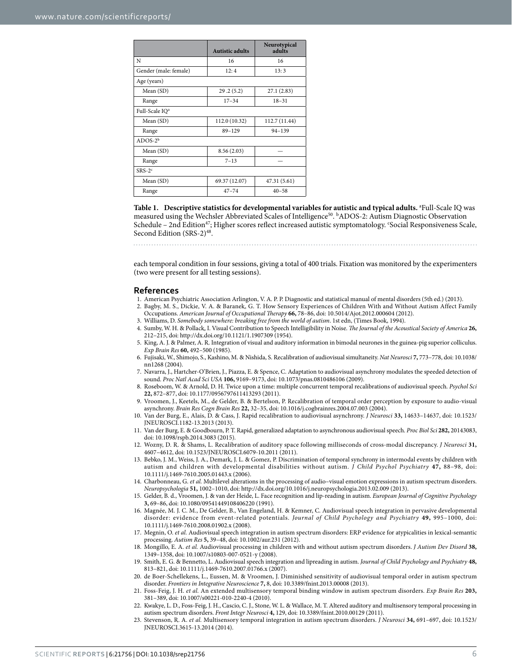<span id="page-5-16"></span>

|                            | <b>Autistic adults</b> | Neurotypical<br>adults |
|----------------------------|------------------------|------------------------|
| N                          | 16                     | 16                     |
| Gender (male: female)      | 12:4                   | 13:3                   |
| Age (years)                |                        |                        |
| Mean (SD)                  | 29.2(5.2)              | 27.1(2.83)             |
| Range                      | $17 - 34$              | $18 - 31$              |
| Full-Scale IQ <sup>a</sup> |                        |                        |
| Mean (SD)                  | 112.0 (10.32)          | 112.7 (11.44)          |
| Range                      | $89 - 129$             | $94 - 139$             |
| $ADOS-2b$                  |                        |                        |
| Mean (SD)                  | 8.56(2.03)             |                        |
| Range                      | $7 - 13$               |                        |
| $SRS-2c$                   |                        |                        |
| Mean (SD)                  | 69.37 (12.07)          | 47.31 (5.61)           |
| Range                      | $47 - 74$              | $40 - 58$              |

Table 1. Descriptive statistics for developmental variables for autistic and typical adults. <sup>a</sup>Full-Scale IQ was measured using the Wechsler Abbreviated Scales of Intelligence<sup>[50](#page-6-20)</sup>. **bADOS-2: Autism Diagnostic Observation** Schedule - 2nd Edition<sup>47</sup>; Higher scores reflect increased autistic symptomatology. 'Social Responsiveness Scale, Second Edition (SRS-2)<sup>48</sup>.

each temporal condition in four sessions, giving a total of 400 trials. Fixation was monitored by the experimenters (two were present for all testing sessions).

#### **References**

- <span id="page-5-0"></span>1. American Psychiatric Association Arlington, V. A. P. P. Diagnostic and statistical manual of mental disorders (5th ed.) (2013).
- <span id="page-5-1"></span>2. Bagby, M. S., Dickie, V. A. & Baranek, G. T. How Sensory Experiences of Children With and Without Autism Affect Family Occupations. *American Journal of Occupational Therapy* **66,** 78–86, doi: 10.5014/Ajot.2012.000604 (2012).
- <span id="page-5-2"></span>3. Williams, D. *Somebody somewhere: breaking free from the world of autism*. 1st edn, (Times Book, 1994).
- <span id="page-5-3"></span>4. Sumby, W. H. & Pollack, I. Visual Contribution to Speech Intelligibility in Noise. *The Journal of the Acoustical Society of America* **26,** 212–215, doi: http://dx.doi.org/10.1121/1.1907309 (1954).
- <span id="page-5-4"></span>5. King, A. J. & Palmer, A. R. Integration of visual and auditory information in bimodal neurones in the guinea-pig superior colliculus. *Exp Brain Res* **60,** 492–500 (1985).
- <span id="page-5-5"></span>6. Fujisaki, W., Shimojo, S., Kashino, M. & Nishida, S. Recalibration of audiovisual simultaneity. *Nat Neurosci* **7,** 773–778, doi: 10.1038/ nn1268 (2004).
- 7. Navarra, J., Hartcher-O'Brien, J., Piazza, E. & Spence, C. Adaptation to audiovisual asynchrony modulates the speeded detection of sound. *Proc Natl Acad Sci USA* **106,** 9169–9173, doi: 10.1073/pnas.0810486106 (2009).
- 8. Roseboom, W. & Arnold, D. H. Twice upon a time: multiple concurrent temporal recalibrations of audiovisual speech. *Psychol Sci* **22,** 872–877, doi: 10.1177/0956797611413293 (2011).
- 9. Vroomen, J., Keetels, M., de Gelder, B. & Bertelson, P. Recalibration of temporal order perception by exposure to audio-visual asynchrony. *Brain Res Cogn Brain Res* **22,** 32–35, doi: 10.1016/j.cogbrainres.2004.07.003 (2004).
- <span id="page-5-6"></span>10. Van der Burg, E., Alais, D. & Cass, J. Rapid recalibration to audiovisual asynchrony. *J Neurosci* **33,** 14633–14637, doi: 10.1523/ JNEUROSCI.1182-13.2013 (2013).
- <span id="page-5-7"></span>11. Van der Burg, E. & Goodbourn, P. T. Rapid, generalized adaptation to asynchronous audiovisual speech. *Proc Biol Sci* **282,** 20143083, doi: 10.1098/rspb.2014.3083 (2015).
- <span id="page-5-8"></span>12. Wozny, D. R. & Shams, L. Recalibration of auditory space following milliseconds of cross-modal discrepancy. *J Neurosci* **31,** 4607–4612, doi: 10.1523/JNEUROSCI.6079-10.2011 (2011).
- <span id="page-5-9"></span>13. Bebko, J. M., Weiss, J. A., Demark, J. L. & Gomez, P. Discrimination of temporal synchrony in intermodal events by children with autism and children with developmental disabilities without autism. *J Child Psychol Psychiatry* **47,** 88–98, doi: 10.1111/j.1469-7610.2005.01443.x (2006).
- 14. Charbonneau, G. *et al.* Multilevel alterations in the processing of audio–visual emotion expressions in autism spectrum disorders. *Neuropsychologia* **51,** 1002–1010, doi: http://dx.doi.org/10.1016/j.neuropsychologia.2013.02.009 (2013).
- 15. Gelder, B. d., Vroomen, J. & van der Heide, L. Face recognition and lip-reading in autism. *European Journal of Cognitive Psychology* **3,** 69–86, doi: 10.1080/09541449108406220 (1991).
- <span id="page-5-11"></span>16. Magnée, M. J. C. M., De Gelder, B., Van Engeland, H. & Kemner, C. Audiovisual speech integration in pervasive developmental disorder: evidence from event-related potentials. *Journal of Child Psychology and Psychiatry* **49,** 995–1000, doi: 10.1111/j.1469-7610.2008.01902.x (2008).
- <span id="page-5-12"></span>17. Megnin, O. *et al.* Audiovisual speech integration in autism spectrum disorders: ERP evidence for atypicalities in lexical-semantic processing. *Autism Res* **5,** 39–48, doi: 10.1002/aur.231 (2012).
- <span id="page-5-13"></span>18. Mongillo, E. A. *et al.* Audiovisual processing in children with and without autism spectrum disorders. *J Autism Dev Disord* **38,** 1349–1358, doi: 10.1007/s10803-007-0521-y (2008).
- <span id="page-5-15"></span>19. Smith, E. G. & Bennetto, L. Audiovisual speech integration and lipreading in autism. *Journal of Child Psychology and Psychiatry* **48,** 813–821, doi: 10.1111/j.1469-7610.2007.01766.x (2007).
- <span id="page-5-10"></span>20. de Boer-Schellekens, L., Eussen, M. & Vroomen, J. Diminished sensitivity of audiovisual temporal order in autism spectrum disorder. *Frontiers in Integrative Neuroscience* **7,** 8, doi: 10.3389/fnint.2013.00008 (2013).
- 21. Foss-Feig, J. H. *et al.* An extended multisensory temporal binding window in autism spectrum disorders. *Exp Brain Res* **203,** 381–389, doi: 10.1007/s00221-010-2240-4 (2010).
- 22. Kwakye, L. D., Foss-Feig, J. H., Cascio, C. J., Stone, W. L. & Wallace, M. T. Altered auditory and multisensory temporal processing in autism spectrum disorders. *Front Integr Neurosci* **4,** 129, doi: 10.3389/fnint.2010.00129 (2011).
- <span id="page-5-14"></span>23. Stevenson, R. A. *et al.* Multisensory temporal integration in autism spectrum disorders. *J Neurosci* **34,** 691–697, doi: 10.1523/ JNEUROSCI.3615-13.2014 (2014).